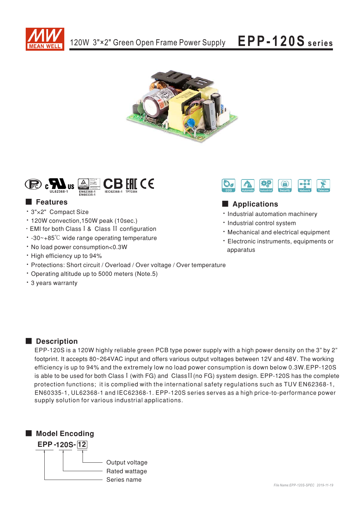

# EPP-120S series





## **E** Features

- · 3"×2" Compact Size
- \* 120W convection, 150W peak (10sec.)
- . EMI for both Class I & Class II configuration
- $\cdot$  -30~+85°C wide range operating temperature
- · No load power consumption<0.3W
- High efficiency up to 94%
- \* Protections: Short circuit / Overload / Over voltage / Over temperature
- Operating altitude up to 5000 meters (Note.5)
- \* 3 years warranty



# Applications

- · Industrial automation machinery
- · Industrial control system
- . Mechanical and electrical equipment
- \* Electronic instruments, equipments or apparatus

## Description

EPP-120S is a 120W highly reliable green PCB type power supply with a high power density on the 3" by 2" footprint. It accepts 80~264VAC input and offers various output voltages between 12V and 48V. The working efficiency is up to 94% and the extremely low no load power consumption is down below 0.3W.EPP-120S is able to be used for both Class I (with FG) and Class II (no FG) system design. EPP-120S has the complete protection functions; it is complied with the international safety regulations such as TUV EN62368-1, EN60335-1, UL62368-1 and IEC62368-1. EPP-120S series serves as a high price-to-performance power supply solution for various industrial applications.

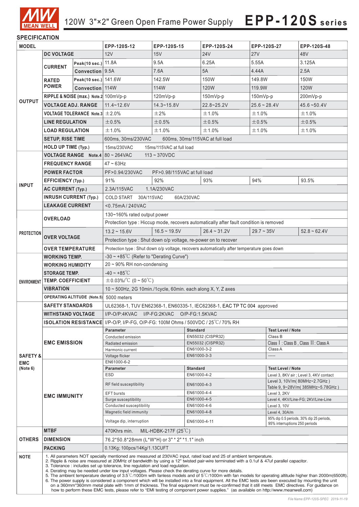

### **SPECIFICATION**

 $\overline{\phantom{a}}$ 

| <b>MODEL</b>        |                                                                                                                                                                                                                           | EPP-120S-12                           | EPP-120S-15                                                                                                                                                                                                                                                                                                |                                                                                                                                                                                                                                                                    | EPP-120S-24                |                            | EPP-120S-27    | EPP-120S-48                                                             |                |  |
|---------------------|---------------------------------------------------------------------------------------------------------------------------------------------------------------------------------------------------------------------------|---------------------------------------|------------------------------------------------------------------------------------------------------------------------------------------------------------------------------------------------------------------------------------------------------------------------------------------------------------|--------------------------------------------------------------------------------------------------------------------------------------------------------------------------------------------------------------------------------------------------------------------|----------------------------|----------------------------|----------------|-------------------------------------------------------------------------|----------------|--|
| <b>DC VOLTAGE</b>   |                                                                                                                                                                                                                           | 12V                                   | 15V                                                                                                                                                                                                                                                                                                        |                                                                                                                                                                                                                                                                    | 24V                        | 27V                        |                | 48V                                                                     |                |  |
| <b>OUTPUT</b>       | Peak(10 sec.) 11.8A                                                                                                                                                                                                       |                                       |                                                                                                                                                                                                                                                                                                            | 9.5A                                                                                                                                                                                                                                                               |                            | 6.25A                      | 5.55A          |                                                                         | 3.125A         |  |
|                     | <b>CURRENT</b>                                                                                                                                                                                                            | Convection 9.5A                       |                                                                                                                                                                                                                                                                                                            | 7.6A                                                                                                                                                                                                                                                               |                            | 5A                         | 4.44A          |                                                                         | 2.5A           |  |
|                     | <b>RATED</b>                                                                                                                                                                                                              | Peak(10 sec.) 141.6W                  |                                                                                                                                                                                                                                                                                                            | 142.5W                                                                                                                                                                                                                                                             |                            | 150W                       | 149.8W         |                                                                         | 150W           |  |
|                     | <b>POWER</b>                                                                                                                                                                                                              | Convection 114W                       |                                                                                                                                                                                                                                                                                                            | 114W                                                                                                                                                                                                                                                               |                            | 120W                       | 119.9W         |                                                                         | <b>120W</b>    |  |
|                     |                                                                                                                                                                                                                           | RIPPLE & NOISE (max.) Note.2 100mVp-p |                                                                                                                                                                                                                                                                                                            | $120mVp-p$                                                                                                                                                                                                                                                         |                            | $150mVp-p$                 | $150mVp-p$     |                                                                         | 200mVp-p       |  |
|                     | <b>VOLTAGE ADJ. RANGE</b>                                                                                                                                                                                                 |                                       | $11.4 - 12.6V$                                                                                                                                                                                                                                                                                             | $14.3 - 15.8V$                                                                                                                                                                                                                                                     |                            | 22.8~25.2V                 | $25.6 - 28.4V$ |                                                                         | $45.6 - 50.4V$ |  |
|                     | <b>VOLTAGE TOLERANCE Note.3 <math>\pm</math> 2.0%</b>                                                                                                                                                                     |                                       |                                                                                                                                                                                                                                                                                                            | $\pm 2\%$                                                                                                                                                                                                                                                          |                            | ±1.0%                      | ±1.0%          |                                                                         | ±1.0%          |  |
|                     | <b>LINE REGULATION</b>                                                                                                                                                                                                    |                                       | ±0.5%                                                                                                                                                                                                                                                                                                      | ±0.5%                                                                                                                                                                                                                                                              |                            | ±0.5%                      | ±0.5%          |                                                                         | ±0.5%          |  |
|                     | <b>LOAD REGULATION</b>                                                                                                                                                                                                    |                                       | ±1.0%                                                                                                                                                                                                                                                                                                      | ±1.0%                                                                                                                                                                                                                                                              |                            | ±1.0%                      | ±1.0%          |                                                                         | $\pm$ 1.0%     |  |
|                     | <b>SETUP, RISE TIME</b>                                                                                                                                                                                                   |                                       | 600ms, 30ms/230VAC<br>600ms, 30ms/115VAC at full load                                                                                                                                                                                                                                                      |                                                                                                                                                                                                                                                                    |                            |                            |                |                                                                         |                |  |
|                     | <b>HOLD UP TIME (Typ.)</b>                                                                                                                                                                                                |                                       | 15ms/230VAC<br>15ms/115VAC at full load                                                                                                                                                                                                                                                                    |                                                                                                                                                                                                                                                                    |                            |                            |                |                                                                         |                |  |
|                     |                                                                                                                                                                                                                           |                                       | <b>VOLTAGE RANGE</b> Note.4 80 ~ 264VAC<br>$113 - 370$ VDC                                                                                                                                                                                                                                                 |                                                                                                                                                                                                                                                                    |                            |                            |                |                                                                         |                |  |
|                     | <b>FREQUENCY RANGE</b>                                                                                                                                                                                                    |                                       | 47 ~ 63Hz                                                                                                                                                                                                                                                                                                  |                                                                                                                                                                                                                                                                    |                            |                            |                |                                                                         |                |  |
|                     | <b>POWER FACTOR</b>                                                                                                                                                                                                       |                                       | PF>0.94/230VAC<br>PF>0.98/115VAC at full load                                                                                                                                                                                                                                                              |                                                                                                                                                                                                                                                                    |                            |                            |                |                                                                         |                |  |
|                     | <b>EFFICIENCY (Typ.)</b>                                                                                                                                                                                                  |                                       | 91%                                                                                                                                                                                                                                                                                                        | 92%                                                                                                                                                                                                                                                                |                            | 93%                        | 94%            |                                                                         | 93.5%          |  |
| <b>INPUT</b>        |                                                                                                                                                                                                                           |                                       | 2.3A/115VAC                                                                                                                                                                                                                                                                                                | 1.1A/230VAC                                                                                                                                                                                                                                                        |                            |                            |                |                                                                         |                |  |
|                     | <b>AC CURRENT (Typ.)</b><br><b>INRUSH CURRENT (Typ.)</b>                                                                                                                                                                  |                                       | 30A/115VAC<br>COLD START<br>60A/230VAC                                                                                                                                                                                                                                                                     |                                                                                                                                                                                                                                                                    |                            |                            |                |                                                                         |                |  |
|                     | <b>LEAKAGE CURRENT</b>                                                                                                                                                                                                    |                                       | $< 0.75$ mA $/240$ VAC                                                                                                                                                                                                                                                                                     |                                                                                                                                                                                                                                                                    |                            |                            |                |                                                                         |                |  |
|                     |                                                                                                                                                                                                                           |                                       |                                                                                                                                                                                                                                                                                                            |                                                                                                                                                                                                                                                                    |                            |                            |                |                                                                         |                |  |
|                     | <b>OVERLOAD</b>                                                                                                                                                                                                           |                                       | 130~160% rated output power<br>Protection type : Hiccup mode, recovers automatically after fault condition is removed                                                                                                                                                                                      |                                                                                                                                                                                                                                                                    |                            |                            |                |                                                                         |                |  |
|                     |                                                                                                                                                                                                                           |                                       | $13.2 \sim 15.6V$                                                                                                                                                                                                                                                                                          | $16.5 \sim 19.5V$                                                                                                                                                                                                                                                  |                            | $26.4 - 31.2V$             | $29.7 - 35V$   |                                                                         | $52.8 - 62.4V$ |  |
| <b>PROTECTION</b>   | <b>OVER VOLTAGE</b>                                                                                                                                                                                                       |                                       |                                                                                                                                                                                                                                                                                                            |                                                                                                                                                                                                                                                                    |                            |                            |                |                                                                         |                |  |
|                     |                                                                                                                                                                                                                           |                                       | Protection type : Shut down o/p voltage, re-power on to recover                                                                                                                                                                                                                                            |                                                                                                                                                                                                                                                                    |                            |                            |                |                                                                         |                |  |
|                     | <b>OVER TEMPERATURE</b>                                                                                                                                                                                                   |                                       | Protection type : Shut down o/p voltage, recovers automatically after temperature goes down                                                                                                                                                                                                                |                                                                                                                                                                                                                                                                    |                            |                            |                |                                                                         |                |  |
|                     | <b>WORKING TEMP.</b>                                                                                                                                                                                                      |                                       | $-30 \sim +85^{\circ}$ C (Refer to "Derating Curve")<br>20 ~ 90% RH non-condensing                                                                                                                                                                                                                         |                                                                                                                                                                                                                                                                    |                            |                            |                |                                                                         |                |  |
|                     | <b>WORKING HUMIDITY</b>                                                                                                                                                                                                   |                                       | $-40 - +85^{\circ}$ C                                                                                                                                                                                                                                                                                      |                                                                                                                                                                                                                                                                    |                            |                            |                |                                                                         |                |  |
|                     | <b>STORAGE TEMP.</b><br><b>TEMP. COEFFICIENT</b>                                                                                                                                                                          |                                       | $\pm$ 0.03%/°C (0 ~ 50°C)                                                                                                                                                                                                                                                                                  |                                                                                                                                                                                                                                                                    |                            |                            |                |                                                                         |                |  |
| <b>ENVIRONMENT</b>  | <b>VIBRATION</b>                                                                                                                                                                                                          |                                       | 10 ~ 500Hz, 2G 10min./1cycle, 60min. each along X, Y, Z axes                                                                                                                                                                                                                                               |                                                                                                                                                                                                                                                                    |                            |                            |                |                                                                         |                |  |
|                     | OPERATING ALTITUDE (Note.5) 5000 meters                                                                                                                                                                                   |                                       |                                                                                                                                                                                                                                                                                                            |                                                                                                                                                                                                                                                                    |                            |                            |                |                                                                         |                |  |
|                     | <b>SAFETY STANDARDS</b>                                                                                                                                                                                                   |                                       | UL62368-1, TUV EN62368-1, EN60335-1, IEC62368-1, EAC TP TC 004 approved                                                                                                                                                                                                                                    |                                                                                                                                                                                                                                                                    |                            |                            |                |                                                                         |                |  |
|                     | <b>WITHSTAND VOLTAGE</b>                                                                                                                                                                                                  |                                       | I/P-O/P:4KVAC I/P-FG:2KVAC O/P-FG:1.5KVAC                                                                                                                                                                                                                                                                  |                                                                                                                                                                                                                                                                    |                            |                            |                |                                                                         |                |  |
|                     |                                                                                                                                                                                                                           |                                       | <b>ISOLATION RESISTANCE</b> I/P-O/P, I/P-FG, O/P-FG: 100M Ohms / 500VDC / 25 <sup>°</sup> C/70% RH                                                                                                                                                                                                         |                                                                                                                                                                                                                                                                    |                            |                            |                |                                                                         |                |  |
|                     | <b>EMC EMISSION</b>                                                                                                                                                                                                       |                                       | <b>Parameter</b>                                                                                                                                                                                                                                                                                           |                                                                                                                                                                                                                                                                    | <b>Standard</b>            |                            |                | <b>Test Level / Note</b>                                                |                |  |
|                     |                                                                                                                                                                                                                           |                                       | Conducted emission                                                                                                                                                                                                                                                                                         |                                                                                                                                                                                                                                                                    | EN55032 (CISPR32)          |                            |                | Class B                                                                 |                |  |
|                     |                                                                                                                                                                                                                           |                                       | Radiated emission                                                                                                                                                                                                                                                                                          |                                                                                                                                                                                                                                                                    | EN55032 (CISPR32)          |                            |                | Class I: Class B, Class II: Class A                                     |                |  |
| <b>SAFETY &amp;</b> |                                                                                                                                                                                                                           |                                       | Harmonic current<br>Voltage flicker                                                                                                                                                                                                                                                                        |                                                                                                                                                                                                                                                                    | EN61000-3-2<br>EN61000-3-3 |                            |                | Class A<br>-----                                                        |                |  |
| <b>EMC</b>          |                                                                                                                                                                                                                           |                                       | EN61000-6-2                                                                                                                                                                                                                                                                                                |                                                                                                                                                                                                                                                                    |                            |                            |                |                                                                         |                |  |
| (Note 6)            | <b>EMC IMMUNITY</b>                                                                                                                                                                                                       |                                       | <b>Parameter</b>                                                                                                                                                                                                                                                                                           |                                                                                                                                                                                                                                                                    | <b>Standard</b>            |                            |                | <b>Test Level / Note</b>                                                |                |  |
|                     |                                                                                                                                                                                                                           |                                       | <b>ESD</b>                                                                                                                                                                                                                                                                                                 |                                                                                                                                                                                                                                                                    | EN61000-4-2                |                            |                | Level 3, 8KV air ; Level 3, 4KV contact<br>Level 3, 10V/m(80MHz~2.7GHz) |                |  |
|                     |                                                                                                                                                                                                                           |                                       | RF field susceptibility                                                                                                                                                                                                                                                                                    |                                                                                                                                                                                                                                                                    | EN61000-4-3                |                            |                | Table 9, 9~28V/m(385MHz~5.78GHz)                                        |                |  |
|                     |                                                                                                                                                                                                                           |                                       | <b>EFT</b> bursts                                                                                                                                                                                                                                                                                          |                                                                                                                                                                                                                                                                    | EN61000-4-4                |                            |                | Level 3, 2KV                                                            |                |  |
|                     |                                                                                                                                                                                                                           |                                       | Surge susceptibility<br>Conducted susceptibility                                                                                                                                                                                                                                                           |                                                                                                                                                                                                                                                                    |                            | EN61000-4-5<br>EN61000-4-6 |                | Level 4, 4KV/Line-FG; 2KV/Line-Line<br>Level 3, 10V                     |                |  |
|                     |                                                                                                                                                                                                                           |                                       | Magnetic field immunity                                                                                                                                                                                                                                                                                    |                                                                                                                                                                                                                                                                    |                            | EN61000-4-8                |                | Level 4, 30A/m                                                          |                |  |
|                     |                                                                                                                                                                                                                           |                                       | 95% dip 0.5 periods, 30% dip 25 periods,<br>Voltage dip, interruption<br>EN61000-4-11<br>95% interruptions 250 periods                                                                                                                                                                                     |                                                                                                                                                                                                                                                                    |                            |                            |                |                                                                         |                |  |
|                     | <b>MTBF</b>                                                                                                                                                                                                               |                                       | 470Khrs min.<br>MIL-HDBK-217F $(25^{\circ}C)$                                                                                                                                                                                                                                                              |                                                                                                                                                                                                                                                                    |                            |                            |                |                                                                         |                |  |
| <b>OTHERS</b>       | <b>DIMENSION</b>                                                                                                                                                                                                          |                                       | 76.2*50.8*28mm (L*W*H) or 3" * 2" *1.1" inch                                                                                                                                                                                                                                                               |                                                                                                                                                                                                                                                                    |                            |                            |                |                                                                         |                |  |
|                     | <b>PACKING</b>                                                                                                                                                                                                            |                                       | 0.13Kg; 100pcs/14Kg/1.13CUFT                                                                                                                                                                                                                                                                               |                                                                                                                                                                                                                                                                    |                            |                            |                |                                                                         |                |  |
| <b>NOTE</b>         |                                                                                                                                                                                                                           |                                       | 1. All parameters NOT specially mentioned are measured at 230VAC input, rated load and 25 of ambient temperature.                                                                                                                                                                                          |                                                                                                                                                                                                                                                                    |                            |                            |                |                                                                         |                |  |
|                     | 2. Ripple & noise are measured at 20MHz of bandwidth by using a 12" twisted pair-wire terminated with a 0.1uf & 47uf parallel capacitor.<br>3. Tolerance: includes set up tolerance, line regulation and load regulation. |                                       |                                                                                                                                                                                                                                                                                                            |                                                                                                                                                                                                                                                                    |                            |                            |                |                                                                         |                |  |
|                     |                                                                                                                                                                                                                           |                                       |                                                                                                                                                                                                                                                                                                            | 4. Derating may be needed under low input voltages. Please check the derating curve for more details.<br>5. The ambient temperature derating of 3.5°C/1000m with fanless models and of 5°C/1000m with fan models for operating altitude higher than 2000m(6500ft). |                            |                            |                |                                                                         |                |  |
|                     |                                                                                                                                                                                                                           |                                       | 6. The power supply is considered a component which will be installed into a final equipment. All the EMC tests are been executed by mounting the unit<br>on a 360mm*360mm metal plate with 1mm of thickness. The final equipment must be re-confirmed that it still meets EMC directives. For guidance on |                                                                                                                                                                                                                                                                    |                            |                            |                |                                                                         |                |  |
|                     | how to perform these EMC tests, please refer to "EMI testing of component power supplies." (as available on http://www.meanwell.com)                                                                                      |                                       |                                                                                                                                                                                                                                                                                                            |                                                                                                                                                                                                                                                                    |                            |                            |                |                                                                         |                |  |

 $\overline{\phantom{a}}$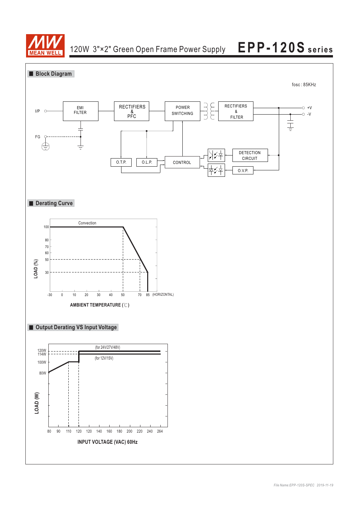

# **EPP-120S series** 120W 3"×2" Green Open Frame Power Supply